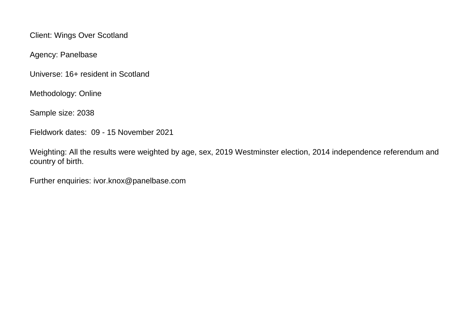Client: Wings Over Scotland

Agency: Panelbase

Universe: 16+ resident in Scotland

Methodology: Online

Sample size: 2038

Fieldwork dates: 09 - 15 November 2021

Weighting: All the results were weighted by age, sex, 2019 Westminster election, 2014 independence referendum and country of birth.

Further enquiries: ivor.knox@panelbase.com